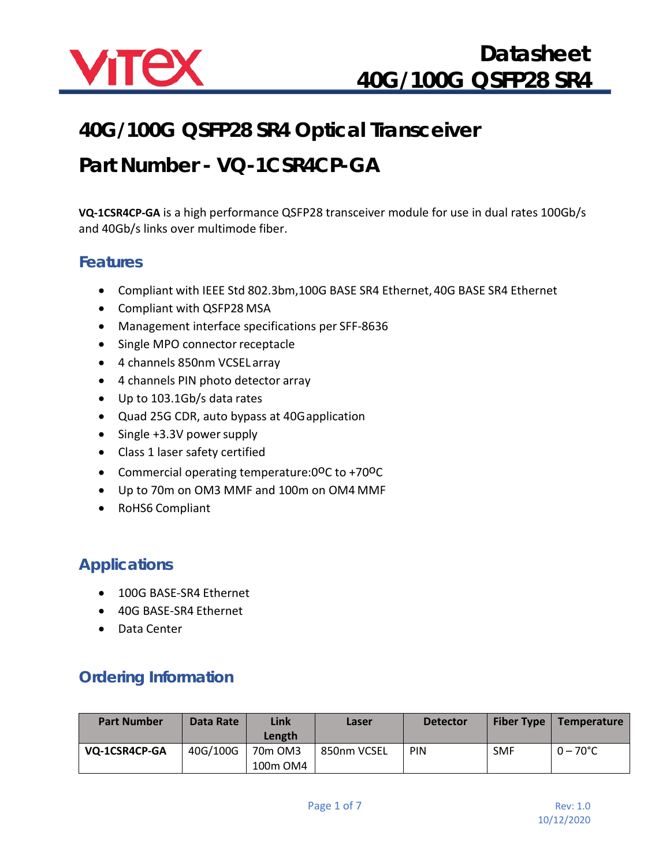

### **40G/100G QSFP28 SR4 Optical Transceiver**

### **Part Number - VQ-1CSR4CP-GA**

**VQ-1CSR4CP-GA** is a high performance QSFP28 transceiver module for use in dual rates 100Gb/s and 40Gb/s links over multimode fiber.

#### **Features**

- Compliant with IEEE Std 802.3bm,100G BASE SR4 Ethernet, 40G BASE SR4 Ethernet
- Compliant with QSFP28 MSA
- Management interface specifications per SFF-8636
- Single MPO connector receptacle
- 4 channels 850nm VCSEL array
- 4 channels PIN photo detector array
- Up to 103.1Gb/s data rates
- Quad 25G CDR, auto bypass at 40Gapplication
- Single +3.3V power supply
- Class 1 laser safety certified
- Commercial operating temperature: 0°C to +70°C
- Up to 70m on OM3 MMF and 100m on OM4 MMF
- RoHS6 Compliant

### **Applications**

- 100G BASE-SR4 Ethernet
- 40G BASE-SR4 Ethernet
- Data Center

### **Ordering Information**

| <b>Part Number</b> | Data Rate | Link<br>Length                              | Laser       | <b>Detector</b> | <b>Fiber Type</b> | Temperature        |
|--------------------|-----------|---------------------------------------------|-------------|-----------------|-------------------|--------------------|
| VQ-1CSR4CP-GA      | 40G/100G  | 70 <sub>m</sub> OM <sub>3</sub><br>100m OM4 | 850nm VCSEL | <b>PIN</b>      | <b>SMF</b>        | $0 - 70^{\circ}$ C |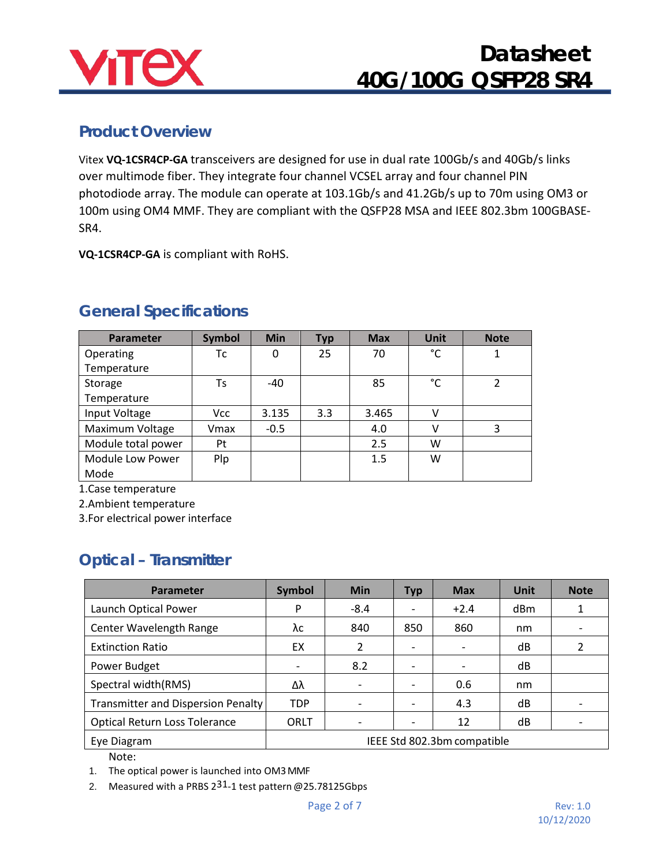

### **Product Overview**

Vitex **VQ-1CSR4CP-GA** transceivers are designed for use in dual rate 100Gb/s and 40Gb/s links over multimode fiber. They integrate four channel VCSEL array and four channel PIN photodiode array. The module can operate at 103.1Gb/s and 41.2Gb/s up to 70m using OM3 or 100m using OM4 MMF. They are compliant with the QSFP28 MSA and IEEE 802.3bm 100GBASE-SR4.

**VQ-1CSR4CP-GA** is compliant with RoHS.

| <b>Parameter</b>   | <b>Symbol</b> | <b>Min</b> | <b>Typ</b> | <b>Max</b> | <b>Unit</b> | <b>Note</b> |
|--------------------|---------------|------------|------------|------------|-------------|-------------|
| Operating          | Тc            | 0          | 25         | 70         | °C          |             |
| Temperature        |               |            |            |            |             |             |
| Storage            | Ts            | $-40$      |            | 85         | °C          | 2           |
| Temperature        |               |            |            |            |             |             |
| Input Voltage      | Vcc           | 3.135      | 3.3        | 3.465      | v           |             |
| Maximum Voltage    | Vmax          | $-0.5$     |            | 4.0        |             | 3           |
| Module total power | Pt            |            |            | 2.5        | w           |             |
| Module Low Power   | Plp           |            |            | 1.5        | W           |             |
| Mode               |               |            |            |            |             |             |

### **General Specifications**

1.Case temperature

2.Ambient temperature

3.For electrical power interface

### **Optical – Transmitter**

| <b>Parameter</b>                     | <b>Symbol</b>               | <b>Min</b> | <b>Typ</b> | <b>Max</b> | Unit | <b>Note</b>              |
|--------------------------------------|-----------------------------|------------|------------|------------|------|--------------------------|
| Launch Optical Power                 | P                           | $-8.4$     |            | $+2.4$     | dBm  | 1                        |
| Center Wavelength Range              | λc                          | 840        | 850        | 860        | nm   | $\overline{\phantom{0}}$ |
| <b>Extinction Ratio</b>              | EX                          | 2          |            |            | dB   | 2                        |
| Power Budget                         | $\overline{\phantom{a}}$    | 8.2        |            |            | dB   |                          |
| Spectral width(RMS)                  | Δλ                          |            |            | 0.6        | nm   |                          |
| Transmitter and Dispersion Penalty   | <b>TDP</b>                  |            |            | 4.3        | dB   |                          |
| <b>Optical Return Loss Tolerance</b> | ORLT                        |            |            | 12         | dB   |                          |
| Eye Diagram                          | IEEE Std 802.3bm compatible |            |            |            |      |                          |

Note:

1. The optical power is launched into OM3MMF

2. Measured with a PRBS  $2^{31}$ -1 test pattern @25.78125Gbps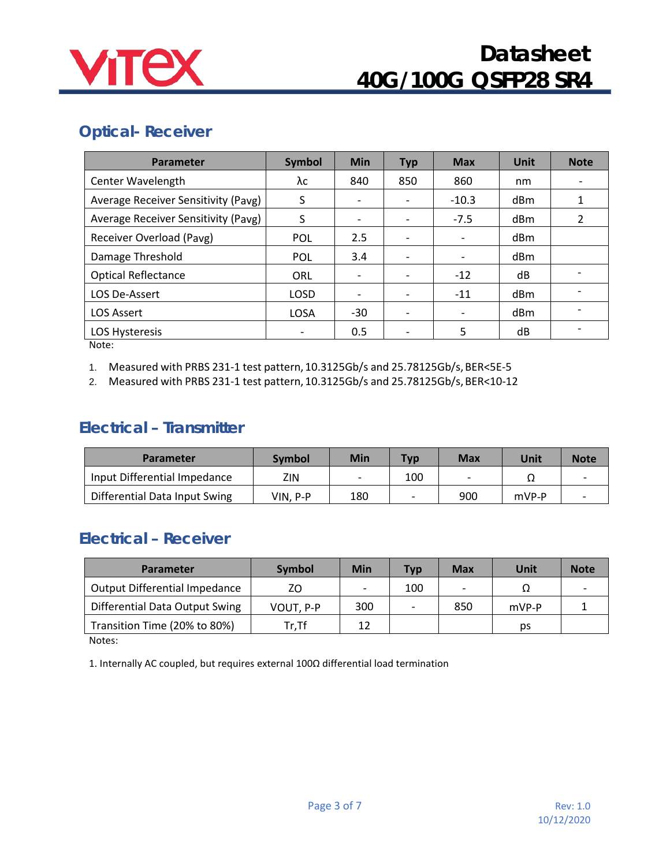

### **Optical- Receiver**

| <b>Parameter</b>                                                                   | <b>Symbol</b>            | <b>Min</b>                   | <b>Typ</b> | <b>Max</b> | <b>Unit</b>     | <b>Note</b>    |
|------------------------------------------------------------------------------------|--------------------------|------------------------------|------------|------------|-----------------|----------------|
| Center Wavelength                                                                  | λc                       | 840                          | 850        | 860        | nm              |                |
| Average Receiver Sensitivity (Pavg)                                                | S                        | $\overline{\phantom{a}}$     |            | $-10.3$    | dBm             |                |
| Average Receiver Sensitivity (Pavg)                                                | S                        |                              |            | $-7.5$     | dBm             | $\mathfrak{p}$ |
| Receiver Overload (Pavg)                                                           | <b>POL</b>               | 2.5                          |            |            | d <sub>Bm</sub> |                |
| Damage Threshold                                                                   | <b>POL</b>               | 3.4                          |            | -          | dBm             |                |
| <b>Optical Reflectance</b>                                                         | ORL                      | $\overline{\phantom{a}}$     |            | $-12$      | dB              |                |
| LOS De-Assert                                                                      | LOSD                     | $\qquad \qquad \blacksquare$ |            | $-11$      | dBm             |                |
| <b>LOS Assert</b>                                                                  | LOSA                     | $-30$                        |            |            | dBm             |                |
| LOS Hysteresis<br>$\mathbf{A}$ $\mathbf{A}$ $\mathbf{A}$ $\mathbf{A}$ $\mathbf{A}$ | $\overline{\phantom{a}}$ | 0.5                          |            | 5          | dB              |                |

Note:

1. Measured with PRBS 231-1 test pattern, 10.3125Gb/s and 25.78125Gb/s, BER<5E-5

2. Measured with PRBS 231-1 test pattern, 10.3125Gb/s and 25.78125Gb/s, BER<10-12

### **Electrical – Transmitter**

| <b>Parameter</b>              | Symbol   | Min | <b>Typ</b> | <b>Max</b> | Unit  | <b>Note</b> |
|-------------------------------|----------|-----|------------|------------|-------|-------------|
| Input Differential Impedance  | ZIN      | -   | 100        |            | 77    |             |
| Differential Data Input Swing | VIN. P-P | 180 |            | 900        | mVP-P |             |

### **Electrical – Receiver**

| <b>Symbol</b> | Min | <b>Typ</b> | <b>Max</b> | Unit  | <b>Note</b> |
|---------------|-----|------------|------------|-------|-------------|
| ΖO            |     | 100        |            |       |             |
| VOUT, P-P     | 300 |            | 850        | mVP-P |             |
| Tr.Tf         | 12  |            |            | рs    |             |
|               |     |            |            |       |             |

Notes:

1. Internally AC coupled, but requires external 100Ω differential load termination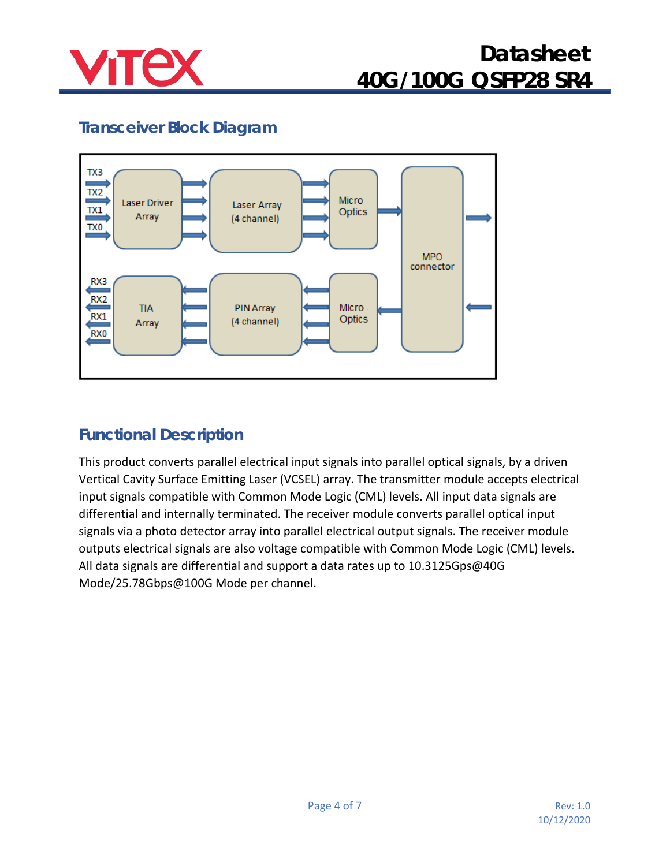

### **Transceiver Block Diagram**



### **Functional Description**

This product converts parallel electrical input signals into parallel optical signals, by a driven Vertical Cavity Surface Emitting Laser (VCSEL) array. The transmitter module accepts electrical input signals compatible with Common Mode Logic (CML) levels. All input data signals are differential and internally terminated. The receiver module converts parallel optical input signals via a photo detector array into parallel electrical output signals. The receiver module outputs electrical signals are also voltage compatible with Common Mode Logic (CML) levels. All data signals are differential and support a data rates up to 10.3125Gps@40G Mode/25.78Gbps@100G Mode per channel.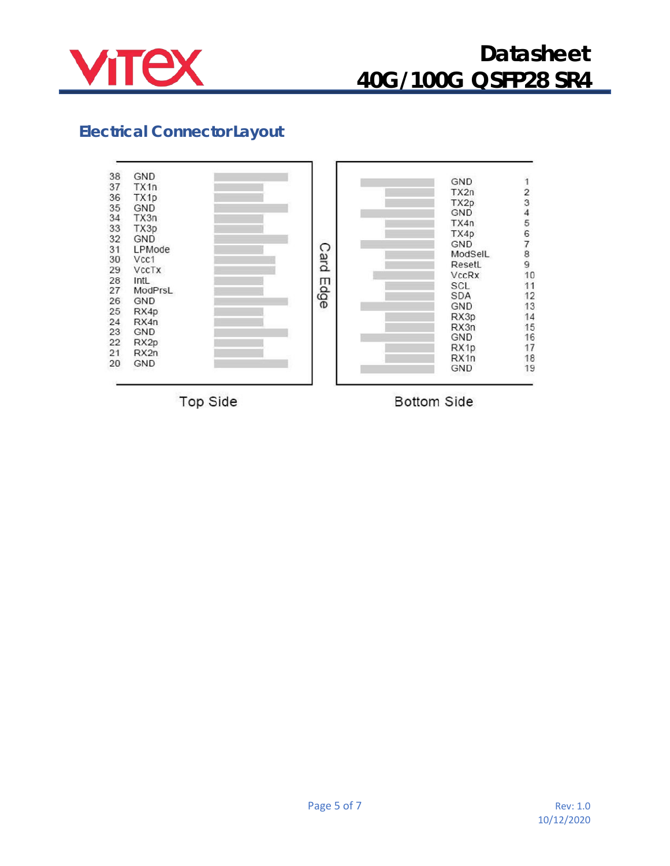

### **Electrical Connector Layout**



Top Side

**Bottom Side**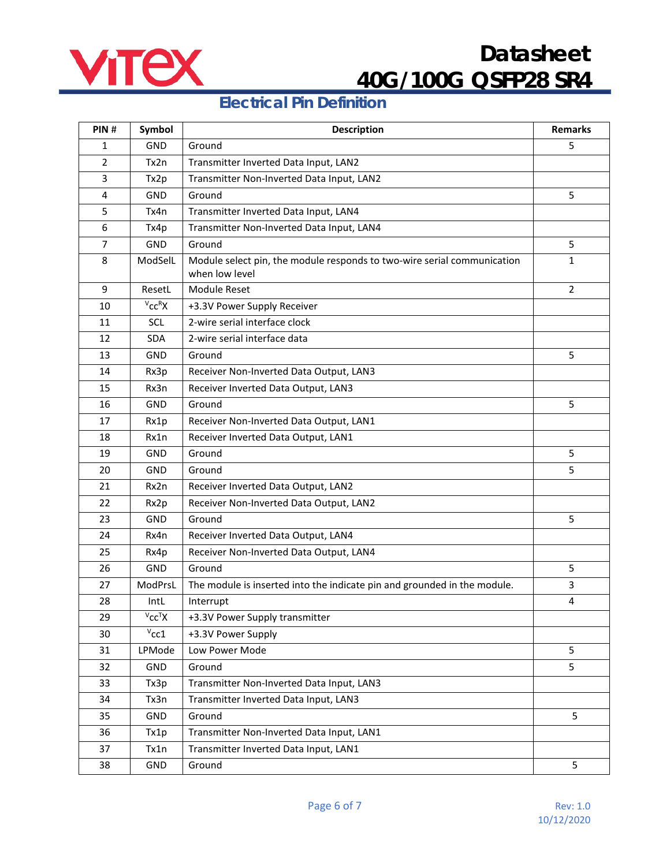

### **Electrical Pin Definition**

| PIN#           | Symbol                         | <b>Description</b>                                                                        | <b>Remarks</b> |
|----------------|--------------------------------|-------------------------------------------------------------------------------------------|----------------|
| 1              | <b>GND</b>                     | Ground                                                                                    | 5              |
| $\overline{2}$ | Tx2n                           | Transmitter Inverted Data Input, LAN2                                                     |                |
| 3              | Tx2p                           | Transmitter Non-Inverted Data Input, LAN2                                                 |                |
| 4              | <b>GND</b>                     | Ground                                                                                    | 5              |
| 5              | Tx4n                           | Transmitter Inverted Data Input, LAN4                                                     |                |
| 6              | Tx4p                           | Transmitter Non-Inverted Data Input, LAN4                                                 |                |
| $\overline{7}$ | GND                            | Ground                                                                                    | 5              |
| 8              | ModSelL                        | Module select pin, the module responds to two-wire serial communication<br>when low level | $\mathbf{1}$   |
| 9              | ResetL                         | <b>Module Reset</b>                                                                       | $\overline{2}$ |
| 10             | $V_{\text{CC}}$ RX             | +3.3V Power Supply Receiver                                                               |                |
| 11             | SCL                            | 2-wire serial interface clock                                                             |                |
| 12             | <b>SDA</b>                     | 2-wire serial interface data                                                              |                |
| 13             | <b>GND</b>                     | Ground                                                                                    | 5              |
| 14             | Rx3p                           | Receiver Non-Inverted Data Output, LAN3                                                   |                |
| 15             | Rx3n                           | Receiver Inverted Data Output, LAN3                                                       |                |
| 16             | GND                            | Ground                                                                                    | 5              |
| 17             | Rx1p                           | Receiver Non-Inverted Data Output, LAN1                                                   |                |
| 18             | Rx1n                           | Receiver Inverted Data Output, LAN1                                                       |                |
| 19             | <b>GND</b>                     | Ground                                                                                    | 5              |
| 20             | GND                            | Ground                                                                                    | 5              |
| 21             | Rx2n                           | Receiver Inverted Data Output, LAN2                                                       |                |
| 22             | Rx2p                           | Receiver Non-Inverted Data Output, LAN2                                                   |                |
| 23             | <b>GND</b>                     | Ground                                                                                    | 5              |
| 24             | Rx4n                           | Receiver Inverted Data Output, LAN4                                                       |                |
| 25             | Rx4p                           | Receiver Non-Inverted Data Output, LAN4                                                   |                |
| 26             | <b>GND</b>                     | Ground                                                                                    | 5              |
| 27             | ModPrsL                        | The module is inserted into the indicate pin and grounded in the module.                  | 3              |
| 28             | IntL                           | Interrupt                                                                                 | 4              |
| 29             | $V_{\text{CC}}$ <sup>T</sup> X | +3.3V Power Supply transmitter                                                            |                |
| 30             | $v_{\rm CC1}$                  | +3.3V Power Supply                                                                        |                |
| 31             | LPMode                         | Low Power Mode                                                                            | 5              |
| 32             | GND                            | Ground                                                                                    | 5              |
| 33             | Tx3p                           | Transmitter Non-Inverted Data Input, LAN3                                                 |                |
| 34             | Tx3n                           | Transmitter Inverted Data Input, LAN3                                                     |                |
| 35             | GND                            | Ground                                                                                    | 5              |
| 36             | Tx1p                           | Transmitter Non-Inverted Data Input, LAN1                                                 |                |
| 37             | Tx1n                           | Transmitter Inverted Data Input, LAN1                                                     |                |
| 38             | GND                            | Ground                                                                                    | 5              |